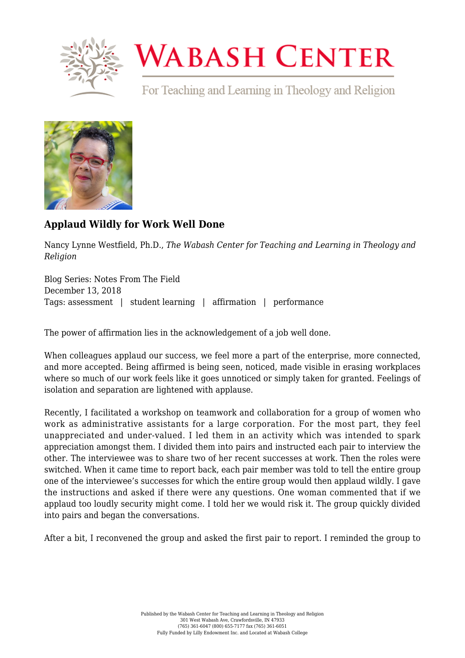

## **WABASH CENTER**

For Teaching and Learning in Theology and Religion



## **[Applaud Wildly for Work Well Done](https://www.wabashcenter.wabash.edu/2018/12/applaud-wildly-for-work-well-done/)**

Nancy Lynne Westfield, Ph.D., *The Wabash Center for Teaching and Learning in Theology and Religion*

Blog Series: Notes From The Field December 13, 2018 Tags: assessment | student learning | affirmation | performance

The power of affirmation lies in the acknowledgement of a job well done.

When colleagues applaud our success, we feel more a part of the enterprise, more connected, and more accepted. Being affirmed is being seen, noticed, made visible in erasing workplaces where so much of our work feels like it goes unnoticed or simply taken for granted. Feelings of isolation and separation are lightened with applause.

Recently, I facilitated a workshop on teamwork and collaboration for a group of women who work as administrative assistants for a large corporation. For the most part, they feel unappreciated and under-valued. I led them in an activity which was intended to spark appreciation amongst them. I divided them into pairs and instructed each pair to interview the other. The interviewee was to share two of her recent successes at work. Then the roles were switched. When it came time to report back, each pair member was told to tell the entire group one of the interviewee's successes for which the entire group would then applaud wildly. I gave the instructions and asked if there were any questions. One woman commented that if we applaud too loudly security might come. I told her we would risk it. The group quickly divided into pairs and began the conversations.

After a bit, I reconvened the group and asked the first pair to report. I reminded the group to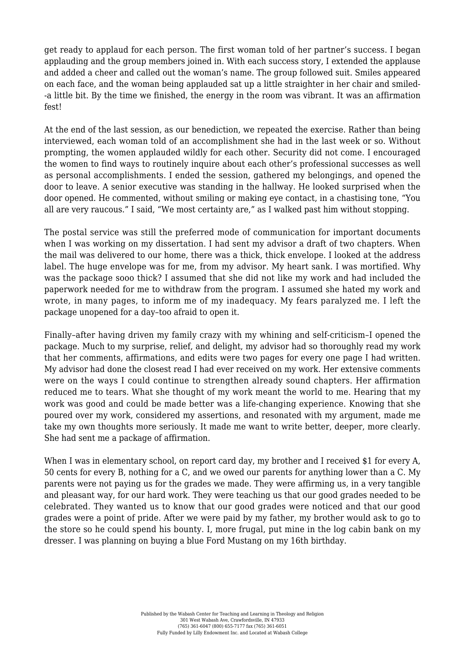get ready to applaud for each person. The first woman told of her partner's success. I began applauding and the group members joined in. With each success story, I extended the applause and added a cheer and called out the woman's name. The group followed suit. Smiles appeared on each face, and the woman being applauded sat up a little straighter in her chair and smiled- -a little bit. By the time we finished, the energy in the room was vibrant. It was an affirmation fest!

At the end of the last session, as our benediction, we repeated the exercise. Rather than being interviewed, each woman told of an accomplishment she had in the last week or so. Without prompting, the women applauded wildly for each other. Security did not come. I encouraged the women to find ways to routinely inquire about each other's professional successes as well as personal accomplishments. I ended the session, gathered my belongings, and opened the door to leave. A senior executive was standing in the hallway. He looked surprised when the door opened. He commented, without smiling or making eye contact, in a chastising tone, "You all are very raucous." I said, "We most certainty are," as I walked past him without stopping.

The postal service was still the preferred mode of communication for important documents when I was working on my dissertation. I had sent my advisor a draft of two chapters. When the mail was delivered to our home, there was a thick, thick envelope. I looked at the address label. The huge envelope was for me, from my advisor. My heart sank. I was mortified. Why was the package sooo thick? I assumed that she did not like my work and had included the paperwork needed for me to withdraw from the program. I assumed she hated my work and wrote, in many pages, to inform me of my inadequacy. My fears paralyzed me. I left the package unopened for a day–too afraid to open it.

Finally–after having driven my family crazy with my whining and self-criticism–I opened the package. Much to my surprise, relief, and delight, my advisor had so thoroughly read my work that her comments, affirmations, and edits were two pages for every one page I had written. My advisor had done the closest read I had ever received on my work. Her extensive comments were on the ways I could continue to strengthen already sound chapters. Her affirmation reduced me to tears. What she thought of my work meant the world to me. Hearing that my work was good and could be made better was a life-changing experience. Knowing that she poured over my work, considered my assertions, and resonated with my argument, made me take my own thoughts more seriously. It made me want to write better, deeper, more clearly. She had sent me a package of affirmation.

When I was in elementary school, on report card day, my brother and I received \$1 for every A, 50 cents for every B, nothing for a C, and we owed our parents for anything lower than a C. My parents were not paying us for the grades we made. They were affirming us, in a very tangible and pleasant way, for our hard work. They were teaching us that our good grades needed to be celebrated. They wanted us to know that our good grades were noticed and that our good grades were a point of pride. After we were paid by my father, my brother would ask to go to the store so he could spend his bounty. I, more frugal, put mine in the log cabin bank on my dresser. I was planning on buying a blue Ford Mustang on my 16th birthday.